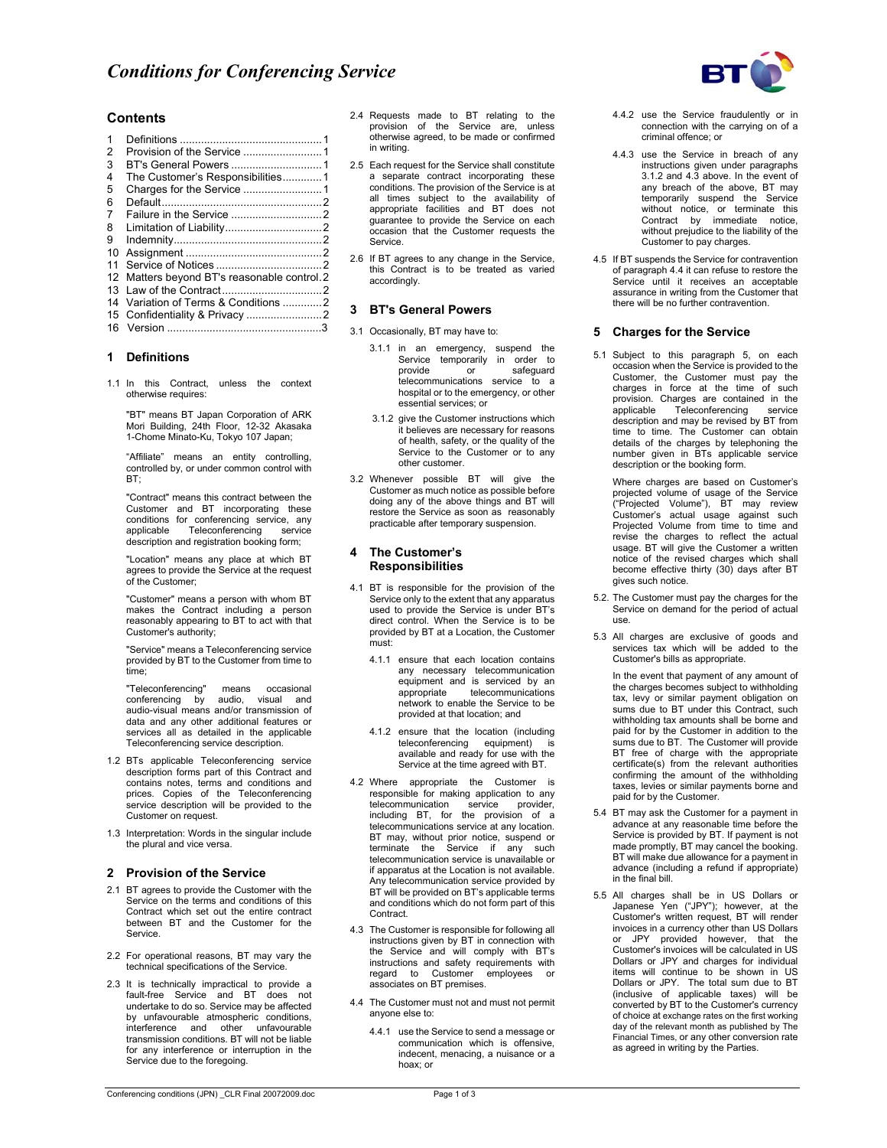

## **Contents**

| $\mathbf{1}$<br>2 |                                           |  |
|-------------------|-------------------------------------------|--|
| 3                 |                                           |  |
| 4                 | The Customer's Responsibilities1          |  |
| 5                 |                                           |  |
| 6                 |                                           |  |
| 7                 |                                           |  |
| 8                 |                                           |  |
| 9                 |                                           |  |
| 10                |                                           |  |
| 11                |                                           |  |
| 12 <sup>12</sup>  | Matters beyond BT's reasonable control. 2 |  |
|                   |                                           |  |
|                   |                                           |  |
|                   |                                           |  |
|                   |                                           |  |
|                   |                                           |  |

### **1 Definitions**

1.1 In this Contract, unless the context otherwise requires:

"BT" means BT Japan Corporation of ARK Mori Building, 24th Floor, 12-32 Akasaka 1-Chome Minato-Ku, Tokyo 107 Japan;

"Affiliate" means an entity controlling, controlled by, or under common control with BT;

"Contract" means this contract between the Customer and BT incorporating these conditions for conferencing service, any applicable Teleconferencing service description and registration booking form;

"Location" means any place at which BT agrees to provide the Service at the request of the Customer;

"Customer" means a person with whom BT makes the Contract including a person reasonably appearing to BT to act with that Customer's authority;

"Service" means a Teleconferencing service provided by BT to the Customer from time to time;

"Teleconferencing" means occasional conferencing by audio, visual and audio-visual means and/or transmission of data and any other additional features or services all as detailed in the applicable Teleconferencing service description.

- 1.2 BTs applicable Teleconferencing service description forms part of this Contract and contains notes, terms and conditions and prices. Copies of the Teleconferencing service description will be provided to the Customer on request.
- 1.3 Interpretation: Words in the singular include the plural and vice versa.

#### **2 Provision of the Service**

- 2.1 BT agrees to provide the Customer with the Service on the terms and conditions of this Contract which set out the entire contract between BT and the Customer for the Service.
- 2.2 For operational reasons, BT may vary the technical specifications of the Service.
- 2.3 It is technically impractical to provide a fault-free Service and BT does not undertake to do so. Service may be affected by unfavourable atmospheric conditions, interference and other unfavourable transmission conditions. BT will not be liable for any interference or interruption in the Service due to the foregoing.
- 2.4 Requests made to BT relating to the provision of the Service are, unless otherwise agreed, to be made or confirmed in writing.
- 2.5 Each request for the Service shall constitute a separate contract incorporating these conditions. The provision of the Service is at all times subject to the availability of appropriate facilities and BT does not guarantee to provide the Service on each occasion that the Customer requests the Service.
- 2.6 If BT agrees to any change in the Service, this Contract is to be treated as varied accordingly.

## **3 BT's General Powers**

- 3.1 Occasionally, BT may have to:
	- 3.1.1 in an emergency, suspend the Service temporarily in order to provide or safeguard telecommunications service to a hospital or to the emergency, or other essential services; or
	- 3.1.2 give the Customer instructions which it believes are necessary for reasons of health, safety, or the quality of the Service to the Customer or to any other customer.
- 3.2 Whenever possible BT will give the Customer as much notice as possible before doing any of the above things and BT will restore the Service as soon as reasonably practicable after temporary suspension.

### **4 The Customer's Responsibilities**

- 4.1 BT is responsible for the provision of the Service only to the extent that any apparatus used to provide the Service is under BT's direct control. When the Service is to be provided by BT at a Location, the Customer must:
	- 4.1.1 ensure that each location contains any necessary telecommunication equipment and is serviced by an appropriate telecommunications telecommunications network to enable the Service to be provided at that location; and
	- 4.1.2 ensure that the location (including teleconferencing equipment) available and ready for use with the Service at the time agreed with BT.
- 4.2 Where appropriate the Customer is responsible for making application to any telecommunication service provider, including BT, for the provision of a telecommunications service at any location. BT may, without prior notice, suspend or terminate the Service if any such telecommunication service is unavailable or if apparatus at the Location is not available. Any telecommunication service provided by BT will be provided on BT's applicable terms and conditions which do not form part of this Contract.
- 4.3 The Customer is responsible for following all instructions given by BT in connection with the Service and will comply with BT's instructions and safety requirements with regard to Customer employees or associates on BT premises.
- 4.4 The Customer must not and must not permit anyone else to:
	- 4.4.1 use the Service to send a message or communication which is offensive, indecent, menacing, a nuisance or a hoax; or
- 4.4.2 use the Service fraudulently or in connection with the carrying on of a criminal offence; or
- 4.4.3 use the Service in breach of any instructions given under paragraphs 3.1.2 and 4.3 above. In the event of any breach of the above, BT may temporarily suspend the Service without notice, or terminate this Contract by immediate notice, without prejudice to the liability of the Customer to pay charges.
- 4.5 If BT suspends the Service for contravention of paragraph 4.4 it can refuse to restore the Service until it receives an acceptable assurance in writing from the Customer that there will be no further contravention.

### **5 Charges for the Service**

5.1 Subject to this paragraph 5, on each occasion when the Service is provided to the Customer, the Customer must pay the charges in force at the time of such provision. Charges are contained in the<br>applicable Teleconferencing service Teleconferencing description and may be revised by BT from time to time. The Customer can obtain details of the charges by telephoning the number given in BTs applicable service description or the booking form.

 Where charges are based on Customer's projected volume of usage of the Service ("Projected Volume"), BT may review Customer's actual usage against such Projected Volume from time to time and revise the charges to reflect the actual usage. BT will give the Customer a written notice of the revised charges which shall become effective thirty (30) days after BT gives such notice.

- 5.2. The Customer must pay the charges for the Service on demand for the period of actual use.
- 5.3 All charges are exclusive of goods and services tax which will be added to the Customer's bills as appropriate.

In the event that payment of any amount of the charges becomes subject to withholding tax, levy or similar payment obligation on sums due to BT under this Contract, such withholding tax amounts shall be borne and paid for by the Customer in addition to the sums due to BT. The Customer will provide BT free of charge with the appropriate certificate(s) from the relevant authorities confirming the amount of the withholding taxes, levies or similar payments borne and paid for by the Customer.

- 5.4 BT may ask the Customer for a payment in advance at any reasonable time before the Service is provided by BT. If payment is not made promptly, BT may cancel the booking. BT will make due allowance for a payment in advance (including a refund if appropriate) in the final bill.
- 5.5 All charges shall be in US Dollars or Japanese Yen ("JPY"); however, at the Customer's written request, BT will render invoices in a currency other than US Dollars or JPY provided however, that the Customer's invoices will be calculated in US Dollars or JPY and charges for individual items will continue to be shown in US Dollars or JPY. The total sum due to BT (inclusive of applicable taxes) will be converted by BT to the Customer's currency of choice at exchange rates on the first working day of the relevant month as published by The Financial Times, or any other conversion rate as agreed in writing by the Parties.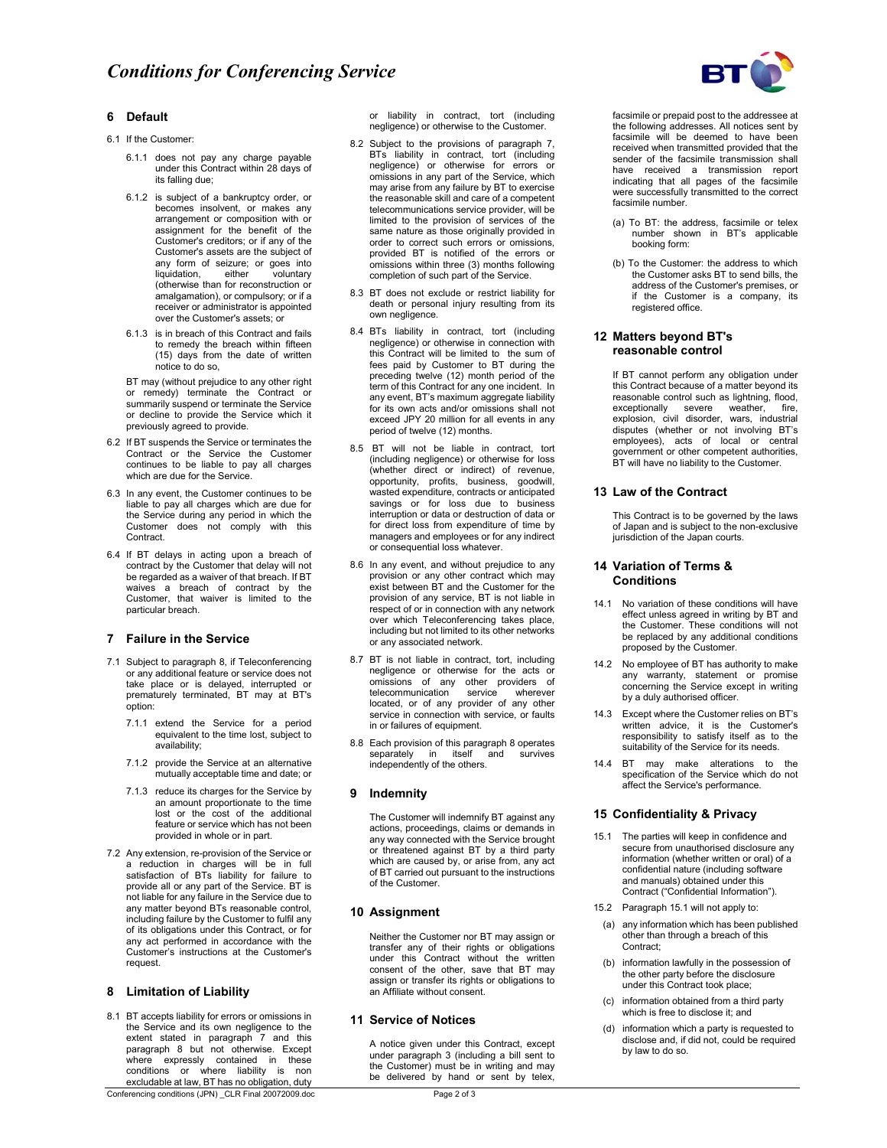

## **6 Default**

- 6.1 If the Customer:
	- 6.1.1 does not pay any charge payable under this Contract within 28 days of its falling due;
	- 6.1.2 is subject of a bankruptcy order, or becomes insolvent, or makes any arrangement or composition with or assignment for the benefit of the Customer's creditors; or if any of the Customer's assets are the subject of any form of seizure; or goes into liquidation, either voluntary (otherwise than for reconstruction or amalgamation), or compulsory; or if a receiver or administrator is appointed over the Customer's assets; or
	- 6.1.3 is in breach of this Contract and fails to remedy the breach within fifteen (15) days from the date of written notice to do so,

BT may (without prejudice to any other right or remedy) terminate the Contract or summarily suspend or terminate the Service or decline to provide the Service which it previously agreed to provide.

- 6.2 If BT suspends the Service or terminates the Contract or the Service the Customer continues to be liable to pay all charges which are due for the Service.
- 6.3 In any event, the Customer continues to be liable to pay all charges which are due for the Service during any period in which the Customer does not comply with this Contract.
- 6.4 If BT delays in acting upon a breach of contract by the Customer that delay will not be regarded as a waiver of that breach. If BT waives a breach of contract by the Customer, that waiver is limited to the particular breach.

## **7 Failure in the Service**

- 7.1 Subject to paragraph 8, if Teleconferencing or any additional feature or service does not take place or is delayed, interrupted or prematurely terminated, BT may at BT's option:
	- 7.1.1 extend the Service for a period equivalent to the time lost, subject to availability;
	- 7.1.2 provide the Service at an alternative mutually acceptable time and date; or
	- 7.1.3 reduce its charges for the Service by an amount proportionate to the time lost or the cost of the additional feature or service which has not been provided in whole or in part.
- 7.2 Any extension, re-provision of the Service or a reduction in charges will be in full satisfaction of BTs liability for failure to provide all or any part of the Service. BT is not liable for any failure in the Service due to any matter beyond BTs reasonable control, including failure by the Customer to fulfil any of its obligations under this Contract, or for any act performed in accordance with the Customer's instructions at the Customer's request.

### **8 Limitation of Liability**

8.1 BT accepts liability for errors or omissions in the Service and its own negligence to the extent stated in paragraph 7 and this paragraph 8 but not otherwise. Except where expressly contained in these conditions or where liability is non excludable at law, BT has no obligation, duty

Conferencing conditions (JPN) \_CLR Final 20072009.doc Page 2 of 3

or liability in contract, tort (including negligence) or otherwise to the Customer.

- 8.2 Subject to the provisions of paragraph 7, BTs liability in contract, tort (including negligence) or otherwise for errors or omissions in any part of the Service, which may arise from any failure by BT to exercise the reasonable skill and care of a competent telecommunications service provider, will be limited to the provision of services of the same nature as those originally provided in order to correct such errors or omissions, provided BT is notified of the errors or omissions within three (3) months following completion of such part of the Service.
- 8.3 BT does not exclude or restrict liability for death or personal injury resulting from its own negligence.
- 8.4 BTs liability in contract, tort (including negligence) or otherwise in connection with this Contract will be limited to the sum of fees paid by Customer to BT during the preceding twelve (12) month period of the term of this Contract for any one incident. In any event, BT's maximum aggregate liability for its own acts and/or omissions shall not exceed JPY 20 million for all events in any period of twelve (12) months.
- 8.5 BT will not be liable in contract, tort (including negligence) or otherwise for loss (whether direct or indirect) of revenue, opportunity, profits, business, goodwill, wasted expenditure, contracts or anticipated savings or for loss due to business interruption or data or destruction of data or for direct loss from expenditure of time by managers and employees or for any indirect or consequential loss whatever.
- 8.6 In any event, and without prejudice to any provision or any other contract which may exist between BT and the Customer for the provision of any service, BT is not liable in respect of or in connection with any network over which Teleconferencing takes place, including but not limited to its other networks or any associated network.
- 8.7 BT is not liable in contract, tort, including negligence or otherwise for the acts or omissions of any other providers of telecommunication service wherever located, or of any provider of any other service in connection with service, or faults in or failures of equipment.
- 8.8 Each provision of this paragraph 8 operates<br>separately in itself and survives separately in itself and independently of the others.

### **9 Indemnity**

The Customer will indemnify BT against any actions, proceedings, claims or demands in any way connected with the Service brought or threatened against BT by a third party which are caused by, or arise from, any act of BT carried out pursuant to the instructions of the Customer.

### **10 Assignment**

Neither the Customer nor BT may assign or transfer any of their rights or obligations under this Contract without the written consent of the other, save that BT may assign or transfer its rights or obligations to an Affiliate without consent.

### **11 Service of Notices**

A notice given under this Contract, except under paragraph 3 (including a bill sent to the Customer) must be in writing and may be delivered by hand or sent by telex,

- (a) To BT: the address, facsimile or telex number shown in BT's applicable booking form:
- (b) To the Customer: the address to which the Customer asks BT to send bills, the address of the Customer's premises, or if the Customer is a company, its registered office.

### **12 Matters beyond BT's reasonable control**

 If BT cannot perform any obligation under this Contract because of a matter beyond its reasonable control such as lightning, flood, exceptionally severe weather, fire, explosion, civil disorder, wars, industrial disputes (whether or not involving BT's employees), acts of local or central government or other competent authorities, BT will have no liability to the Customer.

### **13 Law of the Contract**

 This Contract is to be governed by the laws of Japan and is subject to the non-exclusive jurisdiction of the Japan courts.

## **14 Variation of Terms & Conditions**

- 14.1 No variation of these conditions will have effect unless agreed in writing by BT and the Customer. These conditions will not be replaced by any additional conditions proposed by the Customer.
- 14.2 No employee of BT has authority to make any warranty, statement or promise concerning the Service except in writing by a duly authorised officer.
- 14.3 Except where the Customer relies on BT's written advice, it is the Customer's responsibility to satisfy itself as to the suitability of the Service for its needs.
- 14.4 BT may make alterations to the specification of the Service which do not affect the Service's performance.

### **15 Confidentiality & Privacy**

- 15.1 The parties will keep in confidence and secure from unauthorised disclosure any information (whether written or oral) of a confidential nature (including software and manuals) obtained under this Contract ("Confidential Information").
- 15.2 Paragraph 15.1 will not apply to:
- (a) any information which has been published other than through a breach of this Contract:
- (b) information lawfully in the possession of the other party before the disclosure under this Contract took place;
- (c) information obtained from a third party which is free to disclose it; and
- (d) information which a party is requested to disclose and, if did not, could be required by law to do so.